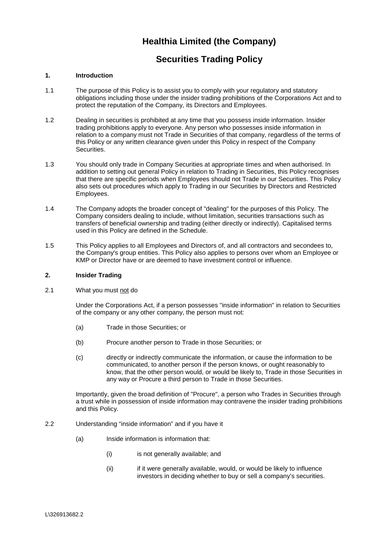# **Healthia Limited (the Company)**

## **Securities Trading Policy**

## **1. Introduction**

- 1.1 The purpose of this Policy is to assist you to comply with your regulatory and statutory obligations including those under the insider trading prohibitions of the Corporations Act and to protect the reputation of the Company, its Directors and Employees.
- 1.2 Dealing in securities is prohibited at any time that you possess inside information. Insider trading prohibitions apply to everyone. Any person who possesses inside information in relation to a company must not Trade in Securities of that company, regardless of the terms of this Policy or any written clearance given under this Policy in respect of the Company Securities.
- 1.3 You should only trade in Company Securities at appropriate times and when authorised. In addition to setting out general Policy in relation to Trading in Securities, this Policy recognises that there are specific periods when Employees should not Trade in our Securities. This Policy also sets out procedures which apply to Trading in our Securities by Directors and Restricted Employees.
- 1.4 The Company adopts the broader concept of "dealing" for the purposes of this Policy. The Company considers dealing to include, without limitation, securities transactions such as transfers of beneficial ownership and trading (either directly or indirectly). Capitalised terms used in this Policy are defined in the Schedule.
- 1.5 This Policy applies to all Employees and Directors of, and all contractors and secondees to, the Company's group entities. This Policy also applies to persons over whom an Employee or KMP or Director have or are deemed to have investment control or influence.

## **2. Insider Trading**

2.1 What you must not do

Under the Corporations Act, if a person possesses "inside information" in relation to Securities of the company or any other company, the person must not:

- (a) Trade in those Securities; or
- (b) Procure another person to Trade in those Securities; or
- (c) directly or indirectly communicate the information, or cause the information to be communicated, to another person if the person knows, or ought reasonably to know, that the other person would, or would be likely to, Trade in those Securities in any way or Procure a third person to Trade in those Securities.

Importantly, given the broad definition of "Procure", a person who Trades in Securities through a trust while in possession of inside information may contravene the insider trading prohibitions and this Policy.

- 2.2 Understanding "inside information" and if you have it
	- (a) Inside information is information that:
		- (i) is not generally available; and
		- (ii) if it were generally available, would, or would be likely to influence investors in deciding whether to buy or sell a company's securities.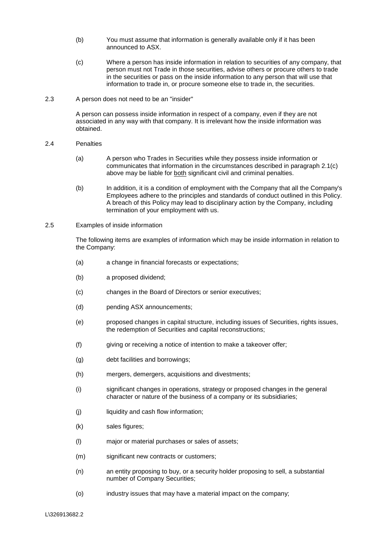- (b) You must assume that information is generally available only if it has been announced to ASX.
- (c) Where a person has inside information in relation to securities of any company, that person must not Trade in those securities, advise others or procure others to trade in the securities or pass on the inside information to any person that will use that information to trade in, or procure someone else to trade in, the securities.

#### 2.3 A person does not need to be an "insider"

A person can possess inside information in respect of a company, even if they are not associated in any way with that company. It is irrelevant how the inside information was obtained.

#### 2.4 Penalties

- (a) A person who Trades in Securities while they possess inside information or communicates that information in the circumstances described in paragraph 2.1(c) above may be liable for both significant civil and criminal penalties.
- (b) In addition, it is a condition of employment with the Company that all the Company's Employees adhere to the principles and standards of conduct outlined in this Policy. A breach of this Policy may lead to disciplinary action by the Company, including termination of your employment with us.
- 2.5 Examples of inside information

The following items are examples of information which may be inside information in relation to the Company:

- (a) a change in financial forecasts or expectations;
- (b) a proposed dividend;
- (c) changes in the Board of Directors or senior executives;
- (d) pending ASX announcements;
- (e) proposed changes in capital structure, including issues of Securities, rights issues, the redemption of Securities and capital reconstructions;
- (f) giving or receiving a notice of intention to make a takeover offer;
- (g) debt facilities and borrowings;
- (h) mergers, demergers, acquisitions and divestments;
- (i) significant changes in operations, strategy or proposed changes in the general character or nature of the business of a company or its subsidiaries;
- (j) liquidity and cash flow information;
- (k) sales figures;
- (l) major or material purchases or sales of assets;
- (m) significant new contracts or customers;
- (n) an entity proposing to buy, or a security holder proposing to sell, a substantial number of Company Securities;
- (o) industry issues that may have a material impact on the company;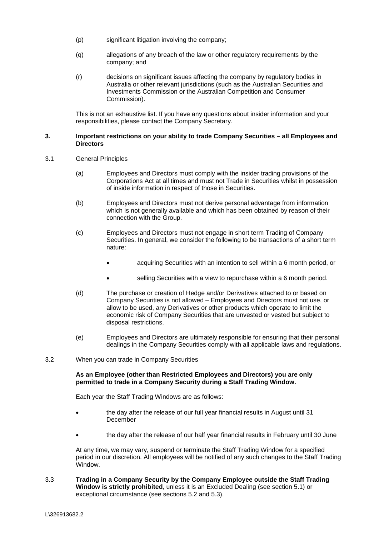- (p) significant litigation involving the company;
- (q) allegations of any breach of the law or other regulatory requirements by the company; and
- (r) decisions on significant issues affecting the company by regulatory bodies in Australia or other relevant jurisdictions (such as the Australian Securities and Investments Commission or the Australian Competition and Consumer Commission).

This is not an exhaustive list. If you have any questions about insider information and your responsibilities, please contact the Company Secretary.

#### **3. Important restrictions on your ability to trade Company Securities – all Employees and Directors**

- 3.1 General Principles
	- (a) Employees and Directors must comply with the insider trading provisions of the Corporations Act at all times and must not Trade in Securities whilst in possession of inside information in respect of those in Securities.
	- (b) Employees and Directors must not derive personal advantage from information which is not generally available and which has been obtained by reason of their connection with the Group.
	- (c) Employees and Directors must not engage in short term Trading of Company Securities. In general, we consider the following to be transactions of a short term nature:
		- acquiring Securities with an intention to sell within a 6 month period, or
		- selling Securities with a view to repurchase within a 6 month period.
	- (d) The purchase or creation of Hedge and/or Derivatives attached to or based on Company Securities is not allowed – Employees and Directors must not use, or allow to be used, any Derivatives or other products which operate to limit the economic risk of Company Securities that are unvested or vested but subject to disposal restrictions.
	- (e) Employees and Directors are ultimately responsible for ensuring that their personal dealings in the Company Securities comply with all applicable laws and regulations.
- 3.2 When you can trade in Company Securities

## **As an Employee (other than Restricted Employees and Directors) you are only permitted to trade in a Company Security during a Staff Trading Window.**

Each year the Staff Trading Windows are as follows:

- the day after the release of our full year financial results in August until 31 December
- the day after the release of our half year financial results in February until 30 June

At any time, we may vary, suspend or terminate the Staff Trading Window for a specified period in our discretion. All employees will be notified of any such changes to the Staff Trading Window.

3.3 **Trading in a Company Security by the Company Employee outside the Staff Trading Window is strictly prohibited**, unless it is an Excluded Dealing (see section 5.1) or exceptional circumstance (see sections 5.2 and 5.3).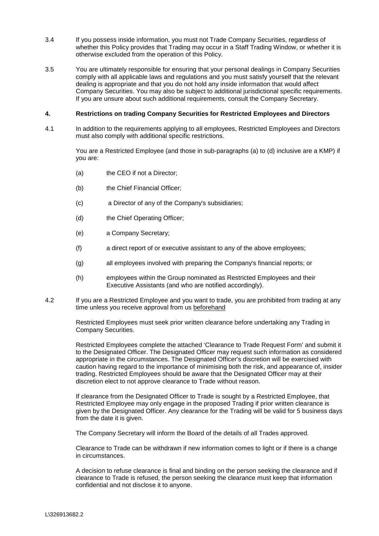- 3.4 If you possess inside information, you must not Trade Company Securities, regardless of whether this Policy provides that Trading may occur in a Staff Trading Window, or whether it is otherwise excluded from the operation of this Policy.
- 3.5 You are ultimately responsible for ensuring that your personal dealings in Company Securities comply with all applicable laws and regulations and you must satisfy yourself that the relevant dealing is appropriate and that you do not hold any inside information that would affect Company Securities. You may also be subject to additional jurisdictional specific requirements. If you are unsure about such additional requirements, consult the Company Secretary.

#### **4. Restrictions on trading Company Securities for Restricted Employees and Directors**

4.1 In addition to the requirements applying to all employees, Restricted Employees and Directors must also comply with additional specific restrictions.

> You are a Restricted Employee (and those in sub-paragraphs (a) to (d) inclusive are a KMP) if you are:

- (a) the CEO if not a Director:
- (b) the Chief Financial Officer;
- (c) a Director of any of the Company's subsidiaries;
- (d) the Chief Operating Officer;
- (e) a Company Secretary;
- (f) a direct report of or executive assistant to any of the above employees;
- (g) all employees involved with preparing the Company's financial reports; or
- (h) employees within the Group nominated as Restricted Employees and their Executive Assistants (and who are notified accordingly).
- 4.2 If you are a Restricted Employee and you want to trade, you are prohibited from trading at any time unless you receive approval from us beforehand

Restricted Employees must seek prior written clearance before undertaking any Trading in Company Securities.

Restricted Employees complete the attached 'Clearance to Trade Request Form' and submit it to the Designated Officer. The Designated Officer may request such information as considered appropriate in the circumstances. The Designated Officer's discretion will be exercised with caution having regard to the importance of minimising both the risk, and appearance of, insider trading. Restricted Employees should be aware that the Designated Officer may at their discretion elect to not approve clearance to Trade without reason.

If clearance from the Designated Officer to Trade is sought by a Restricted Employee, that Restricted Employee may only engage in the proposed Trading if prior written clearance is given by the Designated Officer. Any clearance for the Trading will be valid for 5 business days from the date it is given.

The Company Secretary will inform the Board of the details of all Trades approved.

Clearance to Trade can be withdrawn if new information comes to light or if there is a change in circumstances.

A decision to refuse clearance is final and binding on the person seeking the clearance and if clearance to Trade is refused, the person seeking the clearance must keep that information confidential and not disclose it to anyone.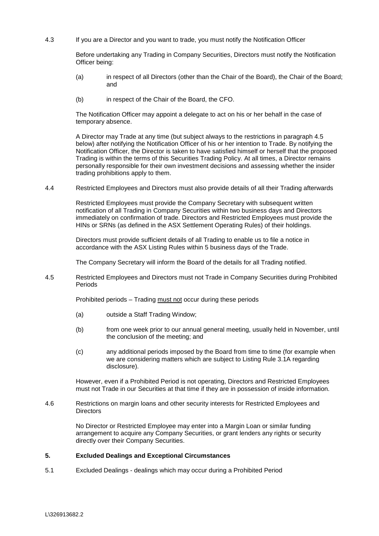4.3 If you are a Director and you want to trade, you must notify the Notification Officer

Before undertaking any Trading in Company Securities, Directors must notify the Notification Officer being:

- (a) in respect of all Directors (other than the Chair of the Board), the Chair of the Board; and
- (b) in respect of the Chair of the Board, the CFO.

The Notification Officer may appoint a delegate to act on his or her behalf in the case of temporary absence.

A Director may Trade at any time (but subject always to the restrictions in paragraph 4.5 below) after notifying the Notification Officer of his or her intention to Trade. By notifying the Notification Officer, the Director is taken to have satisfied himself or herself that the proposed Trading is within the terms of this Securities Trading Policy. At all times, a Director remains personally responsible for their own investment decisions and assessing whether the insider trading prohibitions apply to them.

4.4 Restricted Employees and Directors must also provide details of all their Trading afterwards

Restricted Employees must provide the Company Secretary with subsequent written notification of all Trading in Company Securities within two business days and Directors immediately on confirmation of trade. Directors and Restricted Employees must provide the HINs or SRNs (as defined in the ASX Settlement Operating Rules) of their holdings.

Directors must provide sufficient details of all Trading to enable us to file a notice in accordance with the ASX Listing Rules within 5 business days of the Trade.

The Company Secretary will inform the Board of the details for all Trading notified.

4.5 Restricted Employees and Directors must not Trade in Company Securities during Prohibited Periods

Prohibited periods – Trading must not occur during these periods

- (a) outside a Staff Trading Window;
- (b) from one week prior to our annual general meeting, usually held in November, until the conclusion of the meeting; and
- (c) any additional periods imposed by the Board from time to time (for example when we are considering matters which are subject to Listing Rule 3.1A regarding disclosure).

However, even if a Prohibited Period is not operating, Directors and Restricted Employees must not Trade in our Securities at that time if they are in possession of inside information.

4.6 Restrictions on margin loans and other security interests for Restricted Employees and **Directors** 

> No Director or Restricted Employee may enter into a Margin Loan or similar funding arrangement to acquire any Company Securities, or grant lenders any rights or security directly over their Company Securities.

## **5. Excluded Dealings and Exceptional Circumstances**

5.1 Excluded Dealings - dealings which may occur during a Prohibited Period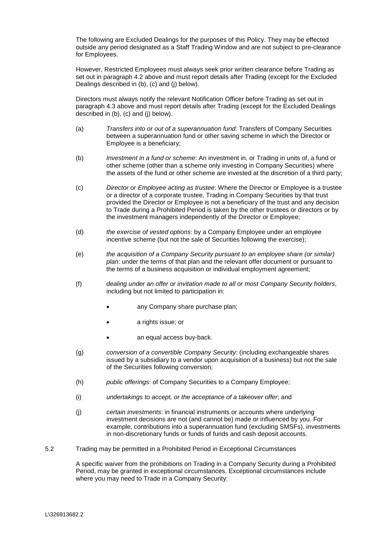The following are Excluded Dealings for the purposes of this Policy. They may be effected outside any period designated as a Staff Trading Window and are not subject to pre-clearance for Employees.

However, Restricted Employees must always seek prior written clearance before Trading as set out in paragraph 4.2 above and must report details after Trading (except for the Excluded Dealings described in (b), (c) and (j) below).

Directors must always notify the relevant Notification Officer before Trading as set out in paragraph 4.3 above and must report details after Trading (except for the Excluded Dealings described in (b), (c) and (j) below).

- (a) *Transfers into or out of a superannuation fund*: Transfers of Company Securities between a superannuation fund or other saving scheme in which the Director or Employee is a beneficiary;
- (b) *Investment in a fund or scheme*: An investment in, or Trading in units of, a fund or other scheme (other than a scheme only investing in Company Securities) where the assets of the fund or other scheme are invested at the discretion of a third party;
- (c) *Director or Employee acting as trustee*: Where the Director or Employee is a trustee or a director of a corporate trustee, Trading in Company Securities by that trust provided the Director or Employee is not a beneficiary of the trust and any decision to Trade during a Prohibited Period is taken by the other trustees or directors or by the investment managers independently of the Director or Employee;
- (d) *the exercise of vested options*: by a Company Employee under an employee incentive scheme (but not the sale of Securities following the exercise);
- (e) *the acquisition of a Company Security pursuant to an employee share (or similar) plan*: under the terms of that plan and the relevant offer document or pursuant to the terms of a business acquisition or individual employment agreement;
- (f) *dealing under an offer or invitation made to all or most Company Security holders*, including but not limited to participation in:
	- any Company share purchase plan:
	- a rights issue; or
	- an equal access buy-back.
- (g) *conversion of a convertible Company Security*: (including exchangeable shares issued by a subsidiary to a vendor upon acquisition of a business) but not the sale of the Securities following conversion;
- (h) *public offerings*: of Company Securities to a Company Employee;
- (i) *undertakings to accept, or the acceptance of a takeover offer*; and
- (j) *certain investments*: in financial instruments or accounts where underlying investment decisions are not (and cannot be) made or influenced by you. For example, contributions into a superannuation fund (excluding SMSFs), investments in non-discretionary funds or funds of funds and cash deposit accounts.
- 5.2 Trading may be permitted in a Prohibited Period in Exceptional Circumstances

A specific waiver from the prohibitions on Trading in a Company Security during a Prohibited Period, may be granted in exceptional circumstances. Exceptional circumstances include where you may need to Trade in a Company Security: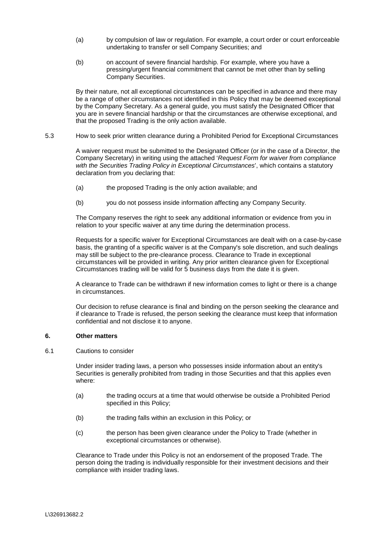- (a) by compulsion of law or regulation. For example, a court order or court enforceable undertaking to transfer or sell Company Securities; and
- (b) on account of severe financial hardship. For example, where you have a pressing/urgent financial commitment that cannot be met other than by selling Company Securities.

By their nature, not all exceptional circumstances can be specified in advance and there may be a range of other circumstances not identified in this Policy that may be deemed exceptional by the Company Secretary. As a general guide, you must satisfy the Designated Officer that you are in severe financial hardship or that the circumstances are otherwise exceptional, and that the proposed Trading is the only action available.

5.3 How to seek prior written clearance during a Prohibited Period for Exceptional Circumstances

A waiver request must be submitted to the Designated Officer (or in the case of a Director, the Company Secretary) in writing using the attached '*Request Form for waiver from compliance with the Securities Trading Policy in Exceptional Circumstances*', which contains a statutory declaration from you declaring that:

- (a) the proposed Trading is the only action available; and
- (b) you do not possess inside information affecting any Company Security.

The Company reserves the right to seek any additional information or evidence from you in relation to your specific waiver at any time during the determination process.

Requests for a specific waiver for Exceptional Circumstances are dealt with on a case-by-case basis, the granting of a specific waiver is at the Company's sole discretion, and such dealings may still be subject to the pre-clearance process. Clearance to Trade in exceptional circumstances will be provided in writing. Any prior written clearance given for Exceptional Circumstances trading will be valid for 5 business days from the date it is given.

A clearance to Trade can be withdrawn if new information comes to light or there is a change in circumstances.

Our decision to refuse clearance is final and binding on the person seeking the clearance and if clearance to Trade is refused, the person seeking the clearance must keep that information confidential and not disclose it to anyone.

## **6. Other matters**

6.1 Cautions to consider

Under insider trading laws, a person who possesses inside information about an entity's Securities is generally prohibited from trading in those Securities and that this applies even where:

- (a) the trading occurs at a time that would otherwise be outside a Prohibited Period specified in this Policy;
- (b) the trading falls within an exclusion in this Policy; or
- (c) the person has been given clearance under the Policy to Trade (whether in exceptional circumstances or otherwise).

Clearance to Trade under this Policy is not an endorsement of the proposed Trade. The person doing the trading is individually responsible for their investment decisions and their compliance with insider trading laws.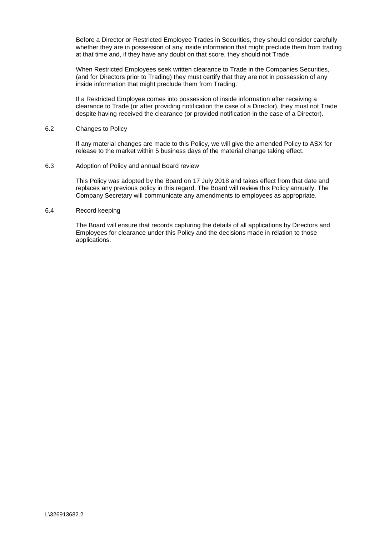Before a Director or Restricted Employee Trades in Securities, they should consider carefully whether they are in possession of any inside information that might preclude them from trading at that time and, if they have any doubt on that score, they should not Trade.

When Restricted Employees seek written clearance to Trade in the Companies Securities, (and for Directors prior to Trading) they must certify that they are not in possession of any inside information that might preclude them from Trading.

If a Restricted Employee comes into possession of inside information after receiving a clearance to Trade (or after providing notification the case of a Director), they must not Trade despite having received the clearance (or provided notification in the case of a Director).

#### 6.2 Changes to Policy

If any material changes are made to this Policy, we will give the amended Policy to ASX for release to the market within 5 business days of the material change taking effect.

6.3 Adoption of Policy and annual Board review

This Policy was adopted by the Board on 17 July 2018 and takes effect from that date and replaces any previous policy in this regard. The Board will review this Policy annually. The Company Secretary will communicate any amendments to employees as appropriate.

#### 6.4 Record keeping

The Board will ensure that records capturing the details of all applications by Directors and Employees for clearance under this Policy and the decisions made in relation to those applications.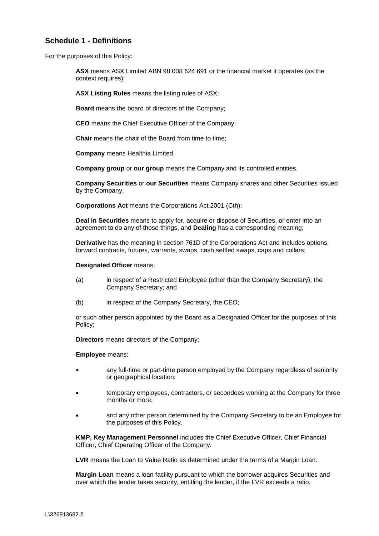## **Schedule 1 - Definitions**

For the purposes of this Policy:

**ASX** means ASX Limited ABN 98 008 624 691 or the financial market it operates (as the context requires);

**ASX Listing Rules** means the listing rules of ASX;

**Board** means the board of directors of the Company;

**CEO** means the Chief Executive Officer of the Company;

**Chair** means the chair of the Board from time to time;

**Company** means Healthia Limited.

**Company group** or **our group** means the Company and its controlled entities.

**Company Securities** or **our Securities** means Company shares and other Securities issued by the Company.

**Corporations Act** means the Corporations Act 2001 (Cth);

**Deal in Securities** means to apply for, acquire or dispose of Securities, or enter into an agreement to do any of those things, and **Dealing** has a corresponding meaning;

**Derivative** has the meaning in section 761D of the Corporations Act and includes options, forward contracts, futures, warrants, swaps, cash settled swaps, caps and collars;

#### **Designated Officer** means:

- (a) in respect of a Restricted Employee (other than the Company Secretary), the Company Secretary; and
- (b) in respect of the Company Secretary, the CEO;

or such other person appointed by the Board as a Designated Officer for the purposes of this Policy;

**Directors** means directors of the Company;

**Employee** means:

- any full-time or part-time person employed by the Company regardless of seniority or geographical location;
- temporary employees, contractors, or secondees working at the Company for three months or more;
- and any other person determined by the Company Secretary to be an Employee for the purposes of this Policy.

**KMP, Key Management Personnel** includes the Chief Executive Officer, Chief Financial Officer, Chief Operating Officer of the Company.

**LVR** means the Loan to Value Ratio as determined under the terms of a Margin Loan.

**Margin Loan** means a loan facility pursuant to which the borrower acquires Securities and over which the lender takes security, entitling the lender, if the LVR exceeds a ratio,